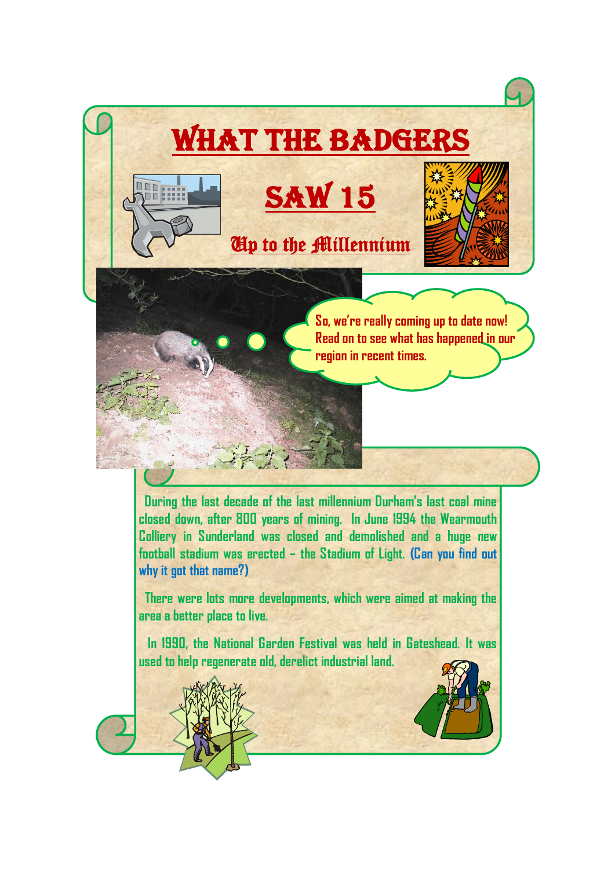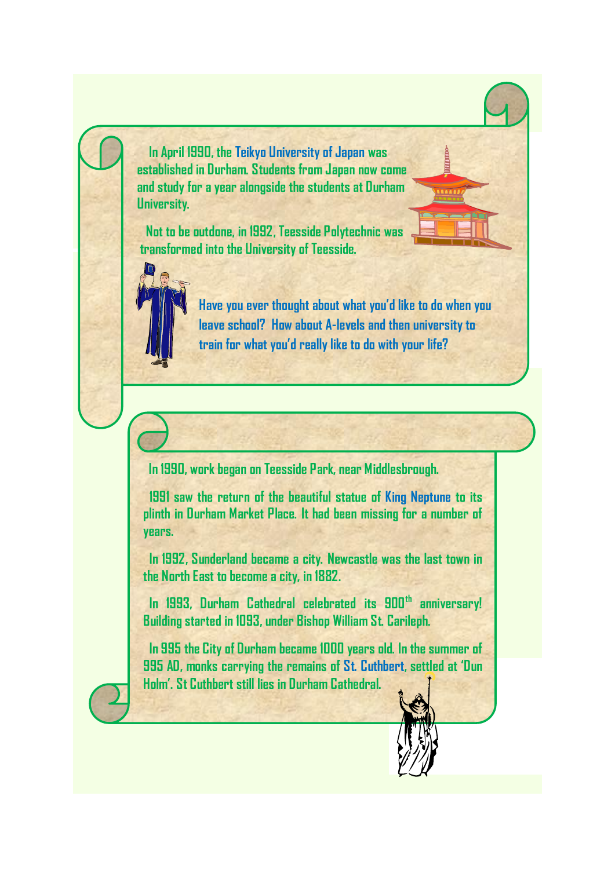**In April 1990, the Teikyo University of Japan was established in Durham. Students from Japan now come and study for a year alongside the students at Durham University.**

 **Not to be outdone, in 1992, Teesside Polytechnic was transformed into the University of Teesside.**



**Have you ever thought about what you'd like to do when you leave school? How about A-levels and then university to train for what you'd really like to do with your life?**

**In 1990, work began on Teesside Park, near Middlesbrough.**

 **1991 saw the return of the beautiful statue of King Neptune to its plinth in Durham Market Place. It had been missing for a number of years.**

 **In 1992, Sunderland became a city. Newcastle was the last town in the North East to become a city, in 1882.**

 **In 1993, Durham Cathedral celebrated its 900th anniversary! Building started in 1093, under Bishop William St. Carileph.**

 **In 995 the City of Durham became 1000 years old. In the summer of 995 AD, monks carrying the remains of St. Cuthbert, settled at 'Dun Holm'. St Cuthbert still lies in Durham Cathedral.**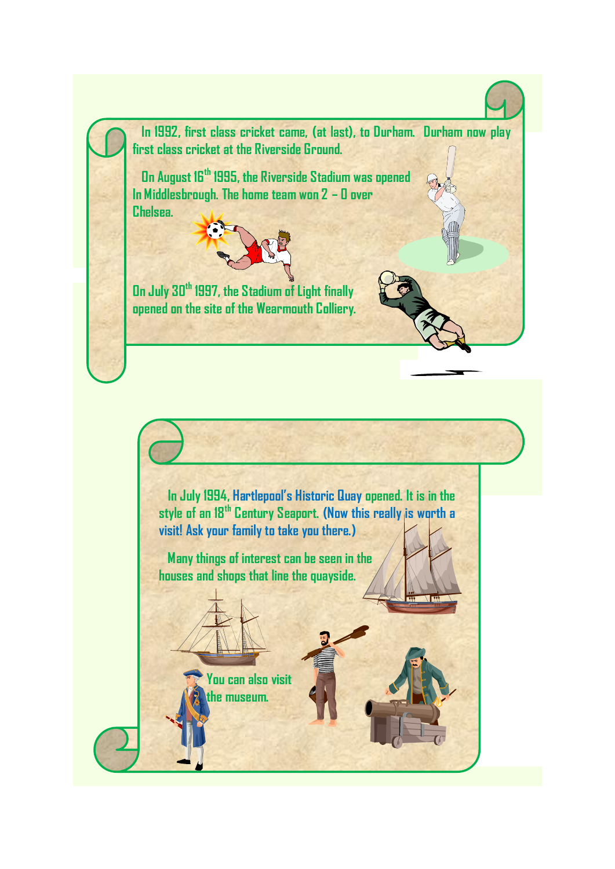**In 1992, first class cricket came, (at last), to Durham. Durham now play first class cricket at the Riverside Ground.**

 **On August 16th 1995, the Riverside Stadium was opened In Middlesbrough. The home team won 2 – 0 over Chelsea.**



**On July 30th 1997, the Stadium of Light finally opened on the site of the Wearmouth Colliery.**